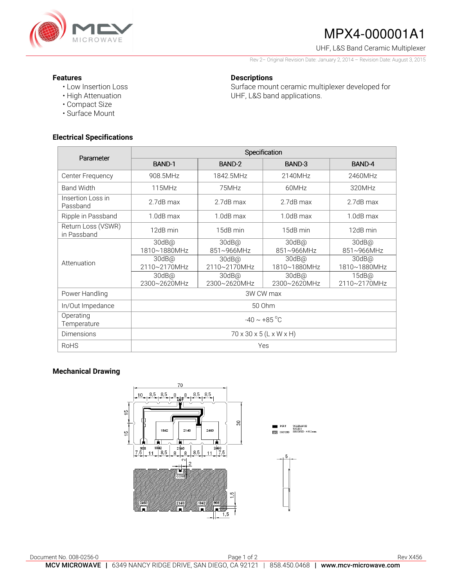

# MPX4-000001A1

UHF, L&S Band Ceramic Multiplexer

Rev 2– Original Revision Date: January 2, 2014 – Revision Date: August 3, 2015

### **Features**

- Low Insertion Loss
- High Attenuation
- Compact Size
- Surface Mount

## **Electrical Specifications**

**Descriptions**  Surface mount ceramic multiplexer developed for UHF, L&S band applications.

| Parameter                         | Specification                       |                          |                          |                          |
|-----------------------------------|-------------------------------------|--------------------------|--------------------------|--------------------------|
|                                   | BAND-1                              | BAND-2                   | BAND-3                   | BAND-4                   |
| Center Frequency                  | 908.5MHz                            | 1842.5MHz                | 2140MHz                  | 2460MHz                  |
| <b>Band Width</b>                 | 115MHz                              | 75MHz                    | 60MHz                    | 320MHz                   |
| Insertion Loss in<br>Passband     | 2.7dB max                           | 2.7dB max                | 2.7dB max                | 2.7dB max                |
| Ripple in Passband                | $1.0dB$ max                         | $1.0dB$ max              | $1.0dB$ max              | $1.0dB$ max              |
| Return Loss (VSWR)<br>in Passband | 12dB min                            | 15dB min                 | 15dB min                 | 12dB min                 |
| Attenuation                       | 30dB@<br>1810~1880MHz               | 30dB@<br>851~966MHz      | $30dB$ @<br>851~966MHz   | 30dB@<br>851~966MHz      |
|                                   | $30dB$ @<br>2110~2170MHz            | $30dB$ @<br>2110~2170MHz | $30dB$ @<br>1810~1880MHz | $30dB$ @<br>1810~1880MHz |
|                                   | 30dB@<br>2300~2620MHz               | $30dB$ @<br>2300~2620MHz | $30dB$ @<br>2300~2620MHz | $15dB$ @<br>2110~2170MHz |
| Power Handling                    | 3W CW max                           |                          |                          |                          |
| In/Out Impedance                  | 50 Ohm                              |                          |                          |                          |
| Operating<br>Temperature          | $-40 \sim +85$ °C                   |                          |                          |                          |
| <b>Dimensions</b>                 | $70 \times 30 \times 5$ (L x W x H) |                          |                          |                          |
| <b>RoHS</b>                       | Yes                                 |                          |                          |                          |

## **Mechanical Drawing**